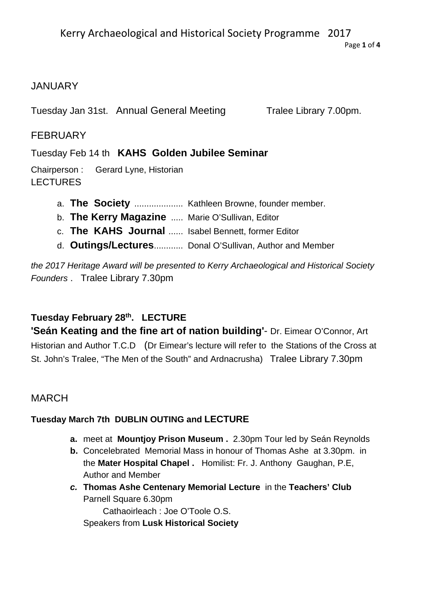Kerry Archaeological and Historical Society Programme 2017

Page **1** of **4**

# **JANUARY**

Tuesday Jan 31st. Annual General Meeting Tralee Library 7.00pm.

# **FEBRUARY**

Tuesday Feb 14 th **KAHS Golden Jubilee Seminar** 

Chairperson : Gerard Lyne, Historian **LECTURES** 

- a. **The Society** .................... Kathleen Browne, founder member.
- b. **The Kerry Magazine** ..... Marie O'Sullivan, Editor
- c. **The KAHS Journal** ...... Isabel Bennett, former Editor
- d. **Outings/Lectures**............ Donal O'Sullivan, Author and Member

*the 2017 Heritage Award will be presented to Kerry Archaeological and Historical Society Founders* . Tralee Library 7.30pm

# **Tuesday February 28th. LECTURE**

**'Seán Keating and the fine art of nation building'**- Dr. Eimear O'Connor, Art Historian and Author T.C.D (Dr Eimear's lecture will refer to the Stations of the Cross at St. John's Tralee, "The Men of the South" and Ardnacrusha) Tralee Library 7.30pm

# MARCH

# **Tuesday March 7th DUBLIN OUTING and LECTURE**

- **a.** meet at **Mountjoy Prison Museum .** 2.30pm Tour led by Seán Reynolds
- **b.** Concelebrated Memorial Mass in honour of Thomas Ashe at 3.30pm. in the **Mater Hospital Chapel .** Homilist: Fr. J. Anthony Gaughan, P.E, Author and Member
- *c.* **Thomas Ashe Centenary Memorial Lecture** in the **Teachers' Club** Parnell Square 6.30pm Cathaoirleach : Joe O'Toole O.S. Speakers from **Lusk Historical Society**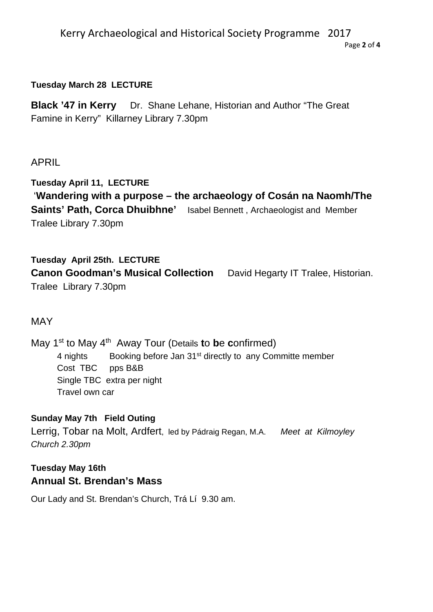#### Kerry Archaeological and Historical Society Programme 2017 Page **2** of **4**

#### **Tuesday March 28 LECTURE**

**Black '47 in Kerry**Dr. Shane Lehane, Historian and Author "The Great Famine in Kerry" Killarney Library 7.30pm

## APRIL

**Tuesday April 11, LECTURE**  '**Wandering with a purpose – the archaeology of Cosán na Naomh/The Saints' Path, Corca Dhuibhne'** Isabel Bennett , Archaeologist and Member Tralee Library 7.30pm

## **Tuesday April 25th. LECTURE**

**Canon Goodman's Musical Collection** David Hegarty IT Tralee, Historian. Tralee Library 7.30pm

### MAY

May 1<sup>st</sup> to May 4<sup>th</sup> Away Tour (Details **to be confirmed)** 4 nights Booking before Jan 31<sup>st</sup> directly to any Committe member Cost TBC pps B&B Single TBC extra per night Travel own car

#### **Sunday May 7th Field Outing**

Lerrig, Tobar na Molt, Ardfert, led by Pádraig Regan, M.A. *Meet at Kilmoyley Church 2.30pm* 

# **Tuesday May 16th Annual St. Brendan's Mass**

Our Lady and St. Brendan's Church, Trá Lí 9.30 am.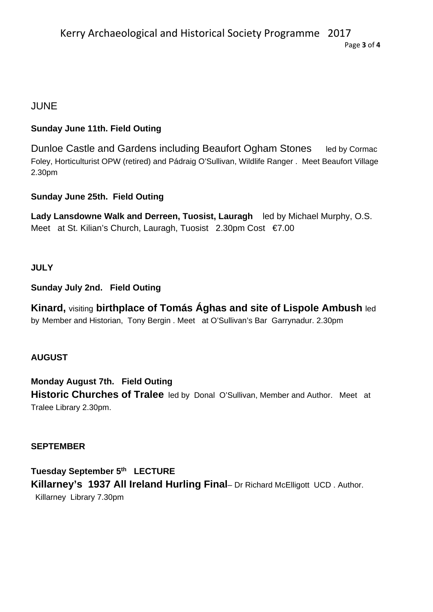# JUNE

## **Sunday June 11th. Field Outing**

Dunloe Castle and Gardens including Beaufort Ogham Stones led by Cormac Foley, Horticulturist OPW (retired) and Pádraig O'Sullivan, Wildlife Ranger . Meet Beaufort Village 2.30pm

### **Sunday June 25th. Field Outing**

**Lady Lansdowne Walk and Derreen, Tuosist, Lauragh** led by Michael Murphy, O.S. Meet at St. Kilian's Church, Lauragh, Tuosist 2.30pm Cost €7.00

### **JULY**

### **Sunday July 2nd. Field Outing**

**Kinard,** visiting **birthplace of Tomás Ághas and site of Lispole Ambush** led by Member and Historian, Tony Bergin . Meet at O'Sullivan's Bar Garrynadur. 2.30pm

### **AUGUST**

**Monday August 7th. Field Outing Historic Churches of Tralee** led by Donal O'Sullivan, Member and Author. Meet at Tralee Library 2.30pm.

#### **SEPTEMBER**

**Tuesday September 5th LECTURE Killarney's 1937 All Ireland Hurling Final**– Dr Richard McElligott UCD . Author. Killarney Library 7.30pm